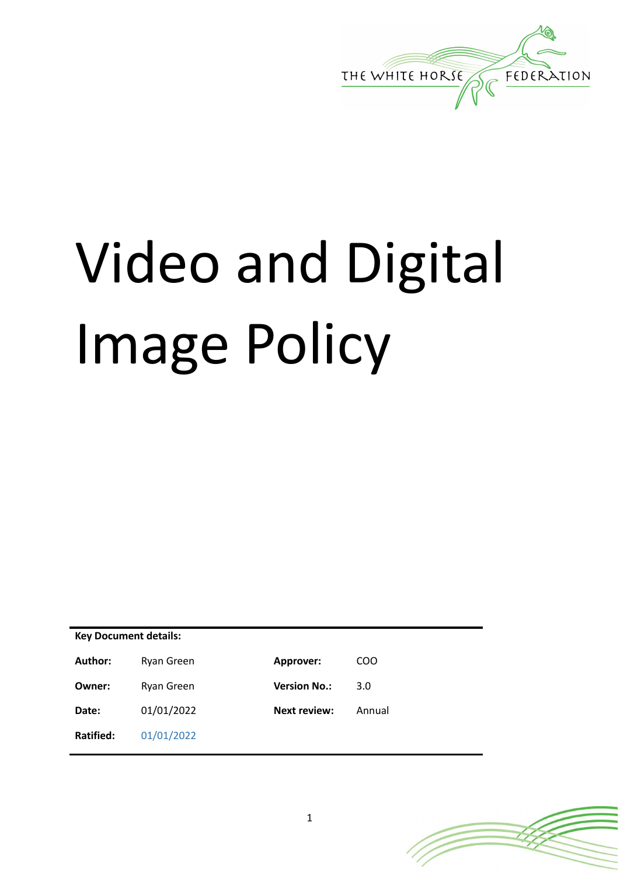

# Video and Digital Image Policy

| <b>Key Document details:</b> |            |                     |        |
|------------------------------|------------|---------------------|--------|
| Author:                      | Ryan Green | Approver:           | COO    |
| Owner:                       | Ryan Green | <b>Version No.:</b> | 3.0    |
| Date:                        | 01/01/2022 | <b>Next review:</b> | Annual |
| Ratified:                    | 01/01/2022 |                     |        |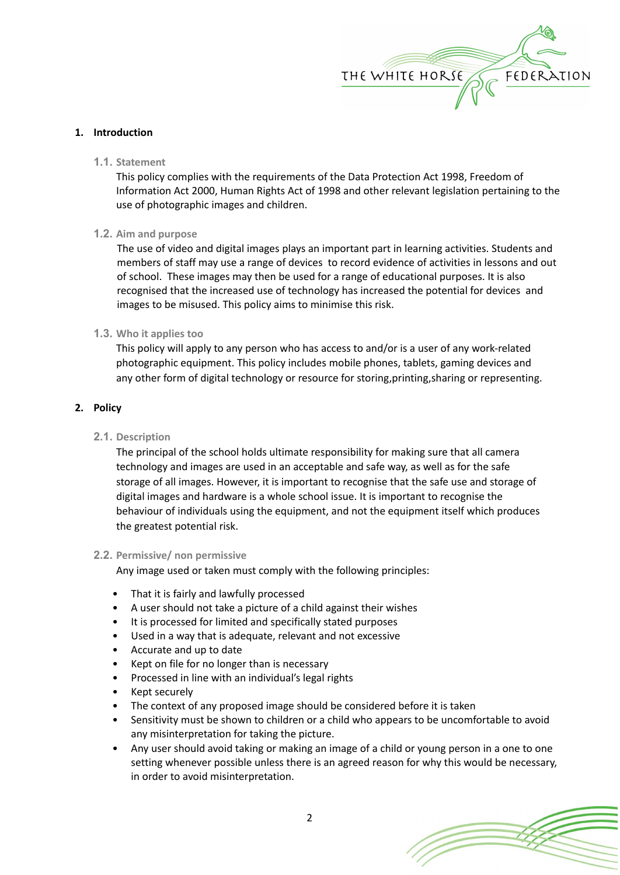

# **1. Introduction**

**1.1. Statement**

This policy complies with the requirements of the Data Protection Act 1998, Freedom of Information Act 2000, Human Rights Act of 1998 and other relevant legislation pertaining to the use of photographic images and children.

# **1.2. Aim and purpose**

The use of video and digital images plays an important part in learning activities. Students and members of staff may use a range of devices to record evidence of activities in lessons and out of school. These images may then be used for a range of educational purposes. It is also recognised that the increased use of technology has increased the potential for devices and images to be misused. This policy aims to minimise this risk.

# **1.3. Who it applies too**

This policy will apply to any person who has access to and/or is a user of any work-related photographic equipment. This policy includes mobile phones, tablets, gaming devices and any other form of digital technology or resource for storing,printing,sharing or representing.

# **2. Policy**

# **2.1. Description**

The principal of the school holds ultimate responsibility for making sure that all camera technology and images are used in an acceptable and safe way, as well as for the safe storage of all images. However, it is important to recognise that the safe use and storage of digital images and hardware is a whole school issue. It is important to recognise the behaviour of individuals using the equipment, and not the equipment itself which produces the greatest potential risk.

# **2.2. Permissive/ non permissive**

Any image used or taken must comply with the following principles:

- That it is fairly and lawfully processed
- A user should not take a picture of a child against their wishes
- It is processed for limited and specifically stated purposes
- Used in a way that is adequate, relevant and not excessive
- Accurate and up to date
- Kept on file for no longer than is necessary
- Processed in line with an individual's legal rights
- Kept securely
- The context of any proposed image should be considered before it is taken
- Sensitivity must be shown to children or a child who appears to be uncomfortable to avoid any misinterpretation for taking the picture.
- Any user should avoid taking or making an image of a child or young person in a one to one setting whenever possible unless there is an agreed reason for why this would be necessary, in order to avoid misinterpretation.

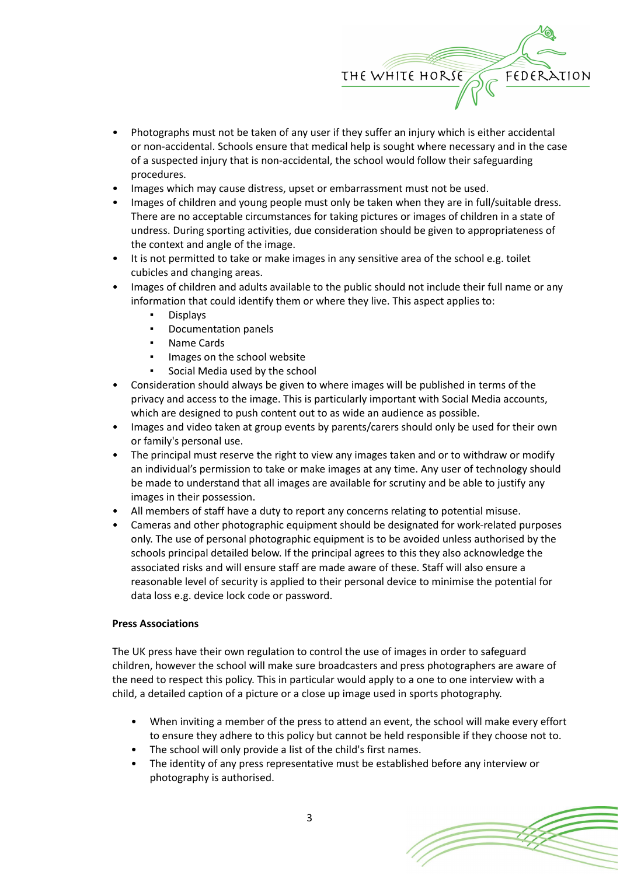

- Photographs must not be taken of any user if they suffer an injury which is either accidental or non-accidental. Schools ensure that medical help is sought where necessary and in the case of a suspected injury that is non-accidental, the school would follow their safeguarding procedures.
- Images which may cause distress, upset or embarrassment must not be used.
- Images of children and young people must only be taken when they are in full/suitable dress. There are no acceptable circumstances for taking pictures or images of children in a state of undress. During sporting activities, due consideration should be given to appropriateness of the context and angle of the image.
- It is not permitted to take or make images in any sensitive area of the school e.g. toilet cubicles and changing areas.
- Images of children and adults available to the public should not include their full name or any information that could identify them or where they live. This aspect applies to:
	- **Displays**
	- Documentation panels
	- Name Cards
	- Images on the school website
	- Social Media used by the school
- Consideration should always be given to where images will be published in terms of the privacy and access to the image. This is particularly important with Social Media accounts, which are designed to push content out to as wide an audience as possible.
- Images and video taken at group events by parents/carers should only be used for their own or family's personal use.
- The principal must reserve the right to view any images taken and or to withdraw or modify an individual's permission to take or make images at any time. Any user of technology should be made to understand that all images are available for scrutiny and be able to justify any images in their possession.
- All members of staff have a duty to report any concerns relating to potential misuse.
- Cameras and other photographic equipment should be designated for work-related purposes only. The use of personal photographic equipment is to be avoided unless authorised by the schools principal detailed below. If the principal agrees to this they also acknowledge the associated risks and will ensure staff are made aware of these. Staff will also ensure a reasonable level of security is applied to their personal device to minimise the potential for data loss e.g. device lock code or password.

# **Press Associations**

The UK press have their own regulation to control the use of images in order to safeguard children, however the school will make sure broadcasters and press photographers are aware of the need to respect this policy. This in particular would apply to a one to one interview with a child, a detailed caption of a picture or a close up image used in sports photography.

- When inviting a member of the press to attend an event, the school will make every effort to ensure they adhere to this policy but cannot be held responsible if they choose not to.
- The school will only provide a list of the child's first names.
- The identity of any press representative must be established before any interview or photography is authorised.

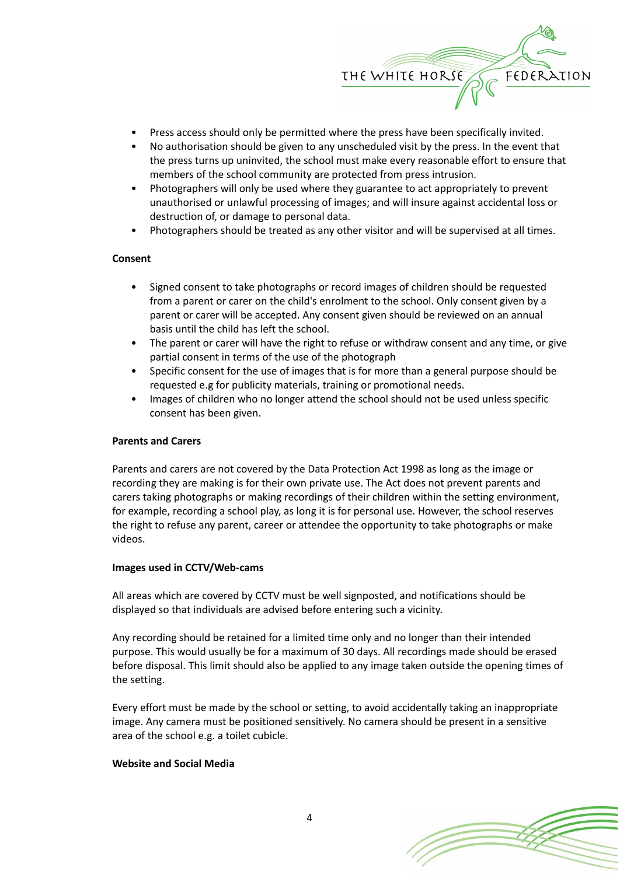

- Press access should only be permitted where the press have been specifically invited.
- No authorisation should be given to any unscheduled visit by the press. In the event that the press turns up uninvited, the school must make every reasonable effort to ensure that members of the school community are protected from press intrusion.
- Photographers will only be used where they guarantee to act appropriately to prevent unauthorised or unlawful processing of images; and will insure against accidental loss or destruction of, or damage to personal data.
- Photographers should be treated as any other visitor and will be supervised at all times.

### **Consent**

- Signed consent to take photographs or record images of children should be requested from a parent or carer on the child's enrolment to the school. Only consent given by a parent or carer will be accepted. Any consent given should be reviewed on an annual basis until the child has left the school.
- The parent or carer will have the right to refuse or withdraw consent and any time, or give partial consent in terms of the use of the photograph
- Specific consent for the use of images that is for more than a general purpose should be requested e.g for publicity materials, training or promotional needs.
- Images of children who no longer attend the school should not be used unless specific consent has been given.

### **Parents and Carers**

Parents and carers are not covered by the Data Protection Act 1998 as long as the image or recording they are making is for their own private use. The Act does not prevent parents and carers taking photographs or making recordings of their children within the setting environment, for example, recording a school play, as long it is for personal use. However, the school reserves the right to refuse any parent, career or attendee the opportunity to take photographs or make videos.

### **Images used in CCTV/Web-cams**

All areas which are covered by CCTV must be well signposted, and notifications should be displayed so that individuals are advised before entering such a vicinity.

Any recording should be retained for a limited time only and no longer than their intended purpose. This would usually be for a maximum of 30 days. All recordings made should be erased before disposal. This limit should also be applied to any image taken outside the opening times of the setting.

Every effort must be made by the school or setting, to avoid accidentally taking an inappropriate image. Any camera must be positioned sensitively. No camera should be present in a sensitive area of the school e.g. a toilet cubicle.

### **Website and Social Media**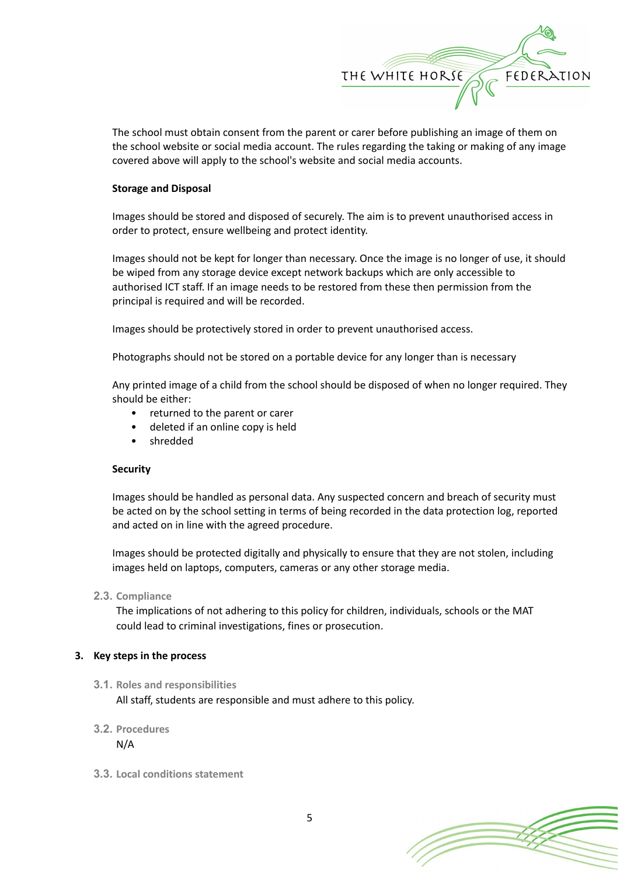

The school must obtain consent from the parent or carer before publishing an image of them on the school website or social media account. The rules regarding the taking or making of any image covered above will apply to the school's website and social media accounts.

## **Storage and Disposal**

Images should be stored and disposed of securely. The aim is to prevent unauthorised access in order to protect, ensure wellbeing and protect identity.

Images should not be kept for longer than necessary. Once the image is no longer of use, it should be wiped from any storage device except network backups which are only accessible to authorised ICT staff. If an image needs to be restored from these then permission from the principal is required and will be recorded.

Images should be protectively stored in order to prevent unauthorised access.

Photographs should not be stored on a portable device for any longer than is necessary

Any printed image of a child from the school should be disposed of when no longer required. They should be either:

- returned to the parent or carer
- deleted if an online copy is held
- shredded

### **Security**

Images should be handled as personal data. Any suspected concern and breach of security must be acted on by the school setting in terms of being recorded in the data protection log, reported and acted on in line with the agreed procedure.

Images should be protected digitally and physically to ensure that they are not stolen, including images held on laptops, computers, cameras or any other storage media.

# **2.3. Compliance**

The implications of not adhering to this policy for children, individuals, schools or the MAT could lead to criminal investigations, fines or prosecution.

# **3. Key steps in the process**

### **3.1. Roles and responsibilities**

All staff, students are responsible and must adhere to this policy.

# **3.2. Procedures**

N/A

**3.3. Local conditions statement**